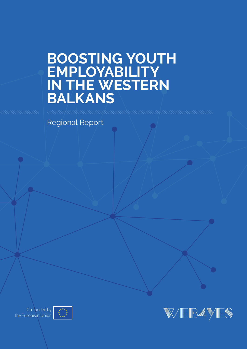# **Boosting Youth Employability in the Western Balkans**

Regional Report



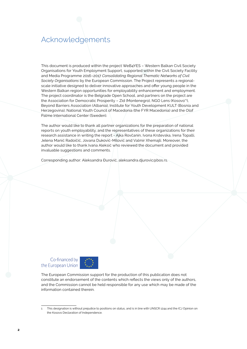# Acknowledgements

This document is produced within the project WeB4YES – Western Balkan Civil Society Organisations for Youth Employment Support, supported within the Civil Society Facility and Media Programme 2016–2017 *Consolidating Regional Thematic Networks of Civil Society Organisations* by the European Commission. The Project represents a regionalscale initiative designed to deliver innovative approaches and offer young people in the Western Balkan region opportunities for employability enhancement and employment. The project coordinator is the Belgrade Open School, and partners on the project are the Association for Democratic Prosperity – Zid (Montenegro), NGO Lens (Kosovo\*1 ), Beyond Barriers Association (Albania), Institute for Youth Development KULT (Bosnia and Herzegovina), National Youth Council of Macedonia (the FYR Macedonia) and the Olof Palme International Center (Sweden).

The author would like to thank all partner organizations for the preparation of national reports on youth employability, and the representatives of these organizations for their research assistance in writing the report - Ajka Rovčanin, Ivona Krstevska, Irena Topalli, Jelena Manić Radoičić, Jovana Duković-Milović and Valmir Xhemajli. Moreover, the author would like to thank Ivana Aleksić who reviewed the document and provided invaluable suggestions and comments.

Corresponding author: Aleksandra Đurović, aleksandra.djurovic@bos.rs.

### Co-financed by the European Union



The European Commission support for the production of this publication does not constitute an endorsement of the contents which reflects the views only of the authors, and the Commission cannot be held responsible for any use which may be made of the information contained therein.

<sup>1</sup> This designation is without prejudice to positions on status, and is in line with UNSCR 1244 and the ICJ Opinion on the Kosovo Declaration of Independence.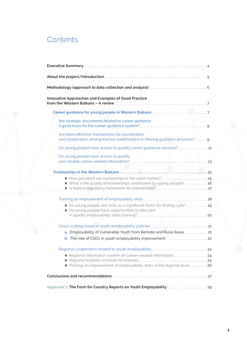# **Contents**

| Innovative Approaches and Examples of Good Practice                                                                                  |
|--------------------------------------------------------------------------------------------------------------------------------------|
|                                                                                                                                      |
| Are strategic documents related to career guidance                                                                                   |
| Are there effective mechanisms for coordination<br>and cooperation among the key stakeholders in lifelong guidance provision?  9     |
|                                                                                                                                      |
| Do young people have access to quality                                                                                               |
|                                                                                                                                      |
| ■ What is the quality of traineeships undertaken by young people? 16                                                                 |
|                                                                                                                                      |
| Do young people see skills as a significant factor for finding a job? 19<br>Do young people have opportunities to take part          |
|                                                                                                                                      |
|                                                                                                                                      |
| a. Employability of Vulnerable Youth from Remote and Rural Areas 21<br>b. The role of CSOs in youth employability improvement 22     |
| Regional cooperation related to youth employability  24<br>Training on improvement of employability skills at the regional level  26 |
|                                                                                                                                      |
|                                                                                                                                      |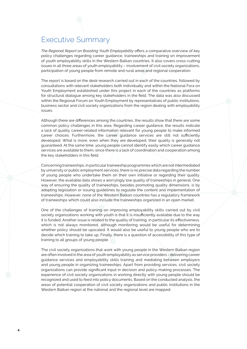# Executive Summary

*The Regional Report on Boosting Youth Employability* offers a comparative overview of key policy challenges regarding career guidance, traineeships and training on improvement of youth employability skills in the Western Balkan countries. It also covers cross-cutting issues in all three areas of youth employability – involvement of civil society organizations, participation of young people from remote and rural areas and regional cooperation.

The report is based on the desk research carried out in each of the countries, followed by consultations with relevant stakeholders both individually and within the National Fora on Youth Employment established under this project in each of the countries as platforms for structural dialogue among key stakeholders in the field. The data was also discussed within the Regional Forum on Youth Employment by representatives of public institutions, business sector and civil society organizations from the region dealing with employability issues.

Although there are differences among the countries, the results show that there are some common policy challenges in this area. Regarding career guidance, the results indicate a lack of quality career-related information relevant for young people to make informed career choices. Furthermore, the career guidance services are still not sufficiently developed. What is more, even when they are developed, their quality is generally not guaranteed. At the same time, young people cannot identify easily which career guidance services are available to them, since there is a lack of coordination and cooperation among the key stakeholders in this field.

Concerning traineeships, in particular traineeship programmes which are not intermediated by university or public employment services, there is no precise data regarding the number of young people who undertake them on their own initiative or regarding their quality. However, the available data shows a worryingly low quality of traineeships in general. One way of ensuring the quality of traineeships, besides promoting quality dimensions, is by adopting legislation or issuing guidelines to regulate the content and implementation of traineeships. However, none of the Western Balkan countries has a regulatory framework of traineeships which could also include the traineeships organized in an open market.

One of the challenges of training on improving employability skills carried out by civil society organizations working with youth is that it is insufficiently available due to the way it is funded. Another issue is related to the quality of training, in particular its effectiveness, which is not always monitored, although monitoring would be useful for determining whether policy should be upscaled. It would also be useful to young people who are to decide which training to take up. Finally, there is a question of accessibility of this type of training to all groups of young people.

The civil society organizations that work with young people in the Western Balkan region are often involved in the area of youth employability as service providers - delivering career guidance services and employability skills training and mediating between employers and young people in organizing traineeships. Apart from providing services, civil society organizations can provide significant input in decision and policy-making processes. The experience of civil society organizations in working directly with young people should be recognized and used to feed into policy documents. Based on the conducted analysis, the areas of potential cooperation of civil society organizations and public institutions in the Western Balkan region at the national and the regional level are mapped.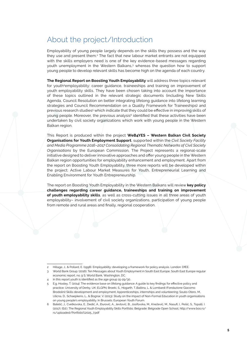# About the project/Introduction

Employability of young people largely depends on the skills they possess and the way they use and present them.<sup>2</sup> The fact that new labour market entrants are not equipped with the skills employers need is one of the key evidence-based messages regarding youth unemployment in the Western Balkans,3 whereas the question how to support young people to develop relevant skills has become high on the agenda of each country.

**The Regional Report on Boosting Youth Employability** will address three topics relevant for youth<sup>4</sup>employability: career quidance, traineeships and training on improvement of youth employability skills. They have been chosen taking into account the importance of these topics outlined in the relevant strategic documents (including New Skills Agenda, Council Resolution on better integrating lifelong guidance into lifelong learning strategies and Council Recommendation on a Quality Framework for Traineeships) and previous research studies<sup>5</sup> which indicate that they could be effective in improving skills of young people. Moreover, the previous analysis<sup>6</sup> identified that these activities have been undertaken by civil society organizations which work with young people in the Western Balkan region.

This Report is produced within the project **WeB4YES – Western Balkan Civil Society Organisations for Youth Employment Support**, supported within the *Civil Society Facility and Media Programme 2016–2017 Consolidating Regional Thematic Networks of Civil Society Organisations* by the European Commission*.* The Project represents a regional-scale initiative designed to deliver innovative approaches and offer young people in the Western Balkan region opportunities for employability enhancement and employment. Apart from the report on Boosting Youth Employability, three more reports will be developed within the project: Active Labour Market Measures for Youth, Entrepreneurial Learning and Enabling Environment for Youth Entrepreneurship.

The report on Boosting Youth Employability in the Western Balkans will review **key policy challenges regarding career guidance, traineeships and training on improvement of youth employability skills**, as well as cross-cutting issues in all three areas of youth employability– involvement of civil society organizations, participation of young people from remote and rural areas and finally, regional cooperation.

Hillage, J., & Pollard, E. (1998). Employability: developing a framework for policy analysis. London: DfEE.

<sup>3</sup> World Bank Group. (2016). Ten Messages about Youth Employment in South East Europe. South East Europe regular economic report, no. 9 S; World Bank, Washington, DC.

<sup>4</sup> In this report youth is identified as the age group 15-29/30.

<sup>5</sup> E.g. Hooley, T. (2014). The evidence base on lifelong guidance: A guide to key findings for effective policy and practice. University of Derby, UK: ELGPN; Broeki, S., Hogarth, T.,Baltina, L. & Lombardi (Fondazione Giacomo Brodolini) Skills development and employment: Apprenticeships, internships and volunteering; Souto-Otero, M., Ulicna, D., Schaepkens, L., & Bognar, V. (2013). Study on the impact of Non-Formal Education in youth organisations on young people's employability. In Brussels: European Youth Forum.

<sup>6</sup> Batelić, J., Cvetkovska, E., Dedić, A., Đurović, A., Jevtović, B., Josifovska, M., Knežević, M., Nasufi, I., Pešić, S., Topalli, I. (2017). (Ed.). The Regional Youth Employability Skills Portfolio. Belgrade: Belgrade Open School, http://www.bos.rs/ rs/uploaded/Portfolio%2025\_7.pdf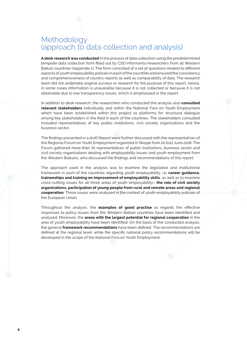# Methodology (approach to data collection and analysis)

**A desk research was conducted** in the process of data collection using the predetermined template data collection form filled out by CSO informants/researchers from all Western Balkan countries (Appendix 1). The form consisted of a set of questions related to different aspects of youth employability policies in each of the countries and ensured the consistency and comprehensiveness of country reports as well as comparability of data. The research team did not undertake original surveys or research for the purpose of this report, hence, in some cases information is unavailable because it is not collected or because it is not obtainable due to low transparency issues, which is emphasized in the report.

In addition to desk research, the researchers who conducted the analysis also **consulted relevant stakeholders** individually and within the National Fora on Youth Employment which have been established within this project as platforms for structural dialogue among key stakeholders in the field in each of the countries. The stakeholders consulted included representatives of key public institutions, civil society organizations and the business sector.

The findings presented in a draft Report were further discussed with the representatives of the Regional Forum on Youth Employment organized in Skopje from 20 to21 June 2018. The Forum gathered more than 70 representatives of public institutions, business sector and civil society organizations dealing with employability issues and youth employment from the Western Balkans, who discussed the findings and recommendations of this report.

The approach used in the analysis was to examine the legislative and institutional framework in each of the countries regarding youth employability, i.e**. career guidance, traineeships and training on improvement of employability skills**, as well as to examine cross-cutting issues for all three areas of youth employability– **the role of civil society organizations, participation of young people from rural and remote areas and regional cooperation**. These issues were analysed in the context of youth employability policies of the European Union.

Throughout the analysis, the **examples of good practise** as regards the effective responses to policy issues from the Western Balkan countries have been identified and analysed. Moreover, the **areas with the largest potential for regional cooperation** in the area of youth employability have been identified. On the basis of the conducted analysis, the general **framework recommendations** have been defined. The recommendations are defined at the regional level, while the specific national policy recommendations will be developed in the scope of the National Fora on Youth Employment.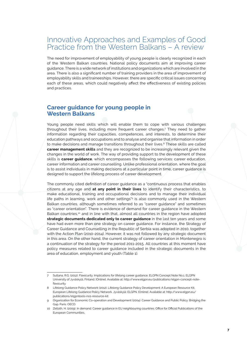## Innovative Approaches and Examples of Good Practice from the Western Balkans - A review

The need for improvement of employability of young people is clearly recognized in each of the Western Balkan countries. National policy documents aim at improving career guidance. There is a wide network of institutions and organizations which are involved in the area. There is also a significant number of training providers in the area of improvement of employability skills and traineeships. However, there are specific critical issues concerning each of these areas, which could negatively affect the effectiveness of existing policies and practices.

### **Career guidance for young people in Western Balkans**

Young people need skills which will enable them to cope with various challenges throughout their lives, including more frequent career changes.7 They need to gather information regarding their capacities, competences, and interests, to determine their education pathways and occupations and to analyse and organise that information in order to make decisions and manage transitions throughout their lives.<sup>8</sup> These skills are called **career management skills** and they are recognized to be increasingly relevant given the changes in the world of work. The way of providing support to the development of these skills is **career guidance**, which encompasses the following services: career education, career information and career counselling. Unlike professional orientation, where the goal is to assist individuals in making decisions at a particular point in time, career guidance is designed to support the lifelong process of career development.

The commonly cited definition of career guidance as a "continuous process that enables citizens at any age and **at any point in their lives** to identify their characteristics, to make educational, training and occupational decisions and to manage their individual life paths in learning, work and other settings"<sup>9</sup> is also commonly used in the Western Balkan countries, although sometimes referred to as "career guidance" and sometimes as "career orientation". There is evidence of demand for career guidance in the Western Balkan countries,10 and in line with that, almost all countries in the region have adopted **strategic documents dedicated only to career guidance** in the last ten years and some have had even more than one strategy on career guidance. For instance, the Strategy of Career Guidance and Counselling in the Republic of Serbia was adopted in 2010, together with the Action Plan (2010-2014). However, it was not followed by any strategic document in this area. On the other hand, the current strategy of career orientation in Montenegro is a continuation of the strategy for the period 2011-2015. All countries at this moment have policy measures related to career guidance included in the strategic documents in the area of education, employment and youth (Table 1).

<sup>7</sup> Sultana, R.G. (2012). Flexicurity. Implications for lifelong career guidance. ELGPN Concept Note No.1. ELGPN University of Jyväskylä, Finland. [Online]. Available at: [http://www.elgpn.eu/publications/elgpn-concept-note](http://www.elgpn.eu/publications/elgpn-concept-note-flexicurity)[flexicurity](http://www.elgpn.eu/publications/elgpn-concept-note-flexicurity)

<sup>8</sup> Lifelong Guidance Policy Network (2012). Lifelong Guidance Policy Development: A European Resource Kit. European Lifelong Guidance Policy Network. Jyväskylä: ELGPN. [Online]. Available at: [http://www.elgpn.eu/](http://www.elgpn.eu/publications/elgpntools-no1-resource-kit) [publications/elgpntools-no1-resource-kit](http://www.elgpn.eu/publications/elgpntools-no1-resource-kit)

<sup>9</sup> Organization for Economic Co-operation and Development (2004). Career Guidance and Public Policy: Bridging the Gap. Paris: OECD.

<sup>10</sup> Zelloth, H. (2009). In demand: Career guidance in EU neighbouring countries. Office for Official Publications of the European Communities.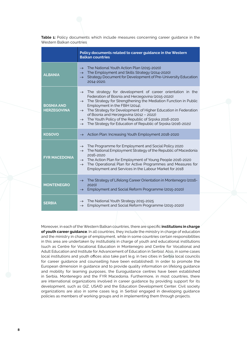**Table 1:** Policy documents which include measures concerning career guidance in the Western Balkan countries

|                                         | Policy documents related to career guidance in the Western<br><b>Balkan countries</b>                                                                                                                                                                                                                                                                                                                                                                                                                                                     |
|-----------------------------------------|-------------------------------------------------------------------------------------------------------------------------------------------------------------------------------------------------------------------------------------------------------------------------------------------------------------------------------------------------------------------------------------------------------------------------------------------------------------------------------------------------------------------------------------------|
| <b>ALBANIA</b>                          | The National Youth Action Plan (2015-2020)<br>$\rightarrow$<br>The Employment and Skills Strategy (2014-2020)<br>$\rightarrow$<br>Strategy Document for Development of Pre-University Education<br>$\rightarrow$<br>2014-2020.                                                                                                                                                                                                                                                                                                            |
| <b>BOSNIA AND</b><br><b>HERZEGOVINA</b> | The strategy for development of career orientation in the<br>$\rightarrow$<br>Federation of Bosnia and Herzegovina (2015-2020)<br>The Strategy for Strengthening the Mediation Function in Public<br>$\rightarrow$<br>Employment in the FBiH (2014),<br>The Strategy for Development of Higher Education in Federation<br>$\rightarrow$<br>of Bosnia and Herzegovina (2012 - 2022)<br>$\rightarrow$ The Youth Policy of the Republic of Srpska 2016-2020<br>The Strategy for Education of Republic of Srpska (2016-2021)<br>$\rightarrow$ |
| <b>KOSOVO</b>                           | Action Plan: Increasing Youth Employment 2018-2020<br>$\rightarrow$                                                                                                                                                                                                                                                                                                                                                                                                                                                                       |
| <b>FYR MACEDONIA</b>                    | The Programme for Employment and Social Policy 2020<br>$\rightarrow$<br>The National Employment Strategy of the Republic of Macedonia<br>$\rightarrow$<br>2016-2020<br>$\rightarrow$ The Action Plan for Employment of Young People 2016-2020<br>The Operational Plan for Active Programmes and Measures for<br>$\rightarrow$<br>Employment and Services in the Labour Market for 2018                                                                                                                                                    |
| <b>MONTENEGRO</b>                       | The Strategy of Lifelong Career Orientation in Montenegro (2016-<br>$\rightarrow$<br>2020)<br>Employment and Social Reform Programme (2015-2020)<br>$\rightarrow$                                                                                                                                                                                                                                                                                                                                                                         |
| <b>SERBIA</b>                           | The National Youth Strategy 2015-2025<br>$\rightarrow$<br>Employment and Social Reform Programme (2015-2020)<br>$\rightarrow$                                                                                                                                                                                                                                                                                                                                                                                                             |

Moreover, in each of the Western Balkan countries, there are specific **institutions in charge of youth career guidance**. In all countries, they include the ministry in charge of education and the ministry in charge of employment, while in some countries certain responsibilities in this area are undertaken by institutions in charge of youth and educational institutions (such as Centre for Vocational Education in Montenegro and Centre for Vocational and Adult Education and Institute for Advancement of Education in Serbia). Also, in some cases local institutions and youth offices also take part (e.g. in two cities in Serbia local councils for career guidance and counselling have been established). In order to promote the European dimension in guidance and to provide quality information on lifelong guidance and mobility for learning purposes, the Euroguidance centres have been established in Serbia, Montenegro and the FYR Macedonia. Furthermore, in most countries, there are international organizations involved in career guidance by providing support for its development, such as GIZ, USAID and the Education Development Center. Civil society organizations are also in some cases (e.g. in Serbia) engaged in developing guidance policies as members of working groups and in implementing them through projects.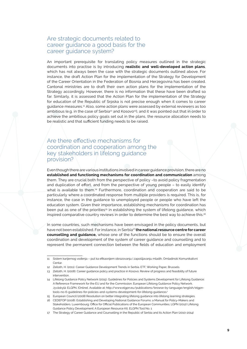### Are strategic documents related to career guidance a good basis for the career guidance system?

An important prerequisite for translating policy measures outlined in the strategic documents into practise is by introducing **realistic and well-developed action plans**, which has not always been the case with the strategic documents outlined above. For instance, the draft Action Plan for the implementation of the Strategy for Development of the Career Orientation in the Federation of Bosnia and Herzegovina has been created. Cantonal ministries are to draft their own action plans for the implementation of the Strategy accordingly. However, there is no information that these have been drafted so far. Similarly, it is assessed that the Action Plan for the implementation of the Strategy for education of the Republic of Srpska is not precise enough when it comes to career guidance measures.11 Also, some action plans were assessed by external reviewers as too ambitious (e.g. in the case of Serbia<sup>12</sup> and Kosovo<sup>13</sup>), and it was pointed out that in order to achieve the ambitious policy goals set out in the plans, the resource allocation needs to be realistic and that sufficient funding needs to be raised.

### Are there effective mechanisms for coordination and cooperation among the key stakeholders in lifelong guidance provision?

Even though there are various institutions involved in career guidance provision, there are no **established and functioning mechanisms for coordination and communication** among them. They are crucial both from the perspective of policy –to avoid policy fragmentation and duplication of effort, and from the perspective of young people – to easily identify what is available to them.14 Furthermore, coordination and cooperation are said to be particularly where a coordinated response from multiple providers is required. This is, for instance, the case in the guidance to unemployed people or people who have left the education system. Given their importance, establishing mechanisms for coordination has been put as one of the priorities<sup>15</sup> in establishing the system of lifelong quidance, which inspired comparative country reviews in order to determine the best way to achieve this.<sup>16</sup>

In some countries, such mechanisms have been envisaged in the policy documents, but have not been established. For instance, in Serbia<sup>17</sup> the national resource centre for career **counselling and guidance,** whose one of the functions should be to ensure the overall coordination and development of the system of career guidance and counselling and to represent the permanent connection between the fields of education and employment

<sup>11</sup> Sistem karijernog vođenja – put ka efikasnijem obrazovanju i zapošljavanju mladih, Omladinski Komunikativni Centar.

<sup>12</sup> Zelloth, H. (2011). Career Guidance Development Trends in Serbia. ETF, Working Paper, Brussels.

<sup>13</sup> Zelloth, H. (2008). Career guidance policy and practice in Kosovo. Review of progress and feasibility of future intervention.

<sup>14</sup> Lifelong Guidance Policy Network (2015). Guidelines for Policies and Systems Development for Lifelong Guidance: A Reference Framework for the EU and for the Commission. European Lifelong Guidance Policy Network. Jyväskylä: ELGPN. [Online]. Available at: [http://www.elgpn.eu/publications/browse-by-language/english/elgpn](http://www.elgpn.eu/publications/browse-by-language/english/elgpn-tools-no-6-guidelines-for-policies-and-systems-development-for-lifelong-guidance/)[tools-no-6-guidelines-for-policies-and-systems-development-for-lifelong-guidance/](http://www.elgpn.eu/publications/browse-by-language/english/elgpn-tools-no-6-guidelines-for-policies-and-systems-development-for-lifelong-guidance/)

<sup>15</sup> European Council (2008) Resolution on better integrating lifelong guidance into lifelong learning strategies.

<sup>16</sup> CEDEFOP (2008). Establishing and Developing National Guidance Forums: a Manual for Policy-Makers and Stakeholders. Luxembourg: Office for Official Publications of the European Communities; LGPN (2012) Lifelong Guidance Policy Development: A European Resource Kit. ELGPN Tool No. 1

<sup>17</sup> The Strategy of Career Guidance and Counselling in the Republic of Serbia and its Action Plan (2010-2014)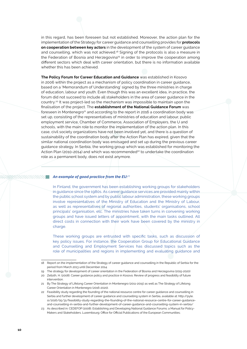in this regard, has been foreseen but not established. Moreover, the action plan for the implementation of the Strategy for career guidance and counselling provides for **protocols on cooperation between key actors** in the development of the system of career guidance and counselling, which was not achieved.<sup>18</sup> Signing of the protocols is also a measure in the Federation of Bosnia and Herzegovina<sup>19</sup> in order to improve the cooperation among different sectors which deal with career orientation, but there is no information available whether this has been achieved.

**The Policy Forum for Career Education and Guidance** was established in Kosovo in 2006 within the project as a mechanism of policy coordination in career guidance, based on a 'Memorandum of Understanding' signed by the three ministries in charge of education, labour and youth. Even though this was an excellent idea, in practice, the forum did not succeed to include all stakeholders in the area of career guidance in the country.20 It was project-led so the mechanism was impossible to maintain upon the finalisation of the project. The **establishment of the National Guidance Forum** was foreseen in Montenegro<sup>21</sup> and according to the report in 2016 a coordination body was set up, consisting of the representatives of ministries of education and labour, public employment service, Chamber of Commerce, Association of Employers, the U and schools, with the main role to monitor the implementation of the action plan. In this case, civil society organizations have not been involved yet, and there is a question of sustainability of the coordination body after the Action Plan has expired, given that the similar national coordination body was envisaged and set up during the previous career guidance strategy. In Serbia, the working group which was established for monitoring the Action Plan (2010-2014) and which was recommended<sup>22</sup> to undertake the coordination role as a permanent body, does not exist anymore.

#### *An example of good practice from the EU:<sup>23</sup>*

In Finland, the government has been establishing working groups for stakeholders in guidance since the 1980s. As career guidance services are provided mainly within the public school system and by public labour administration, these working groups involve representatives of the Ministry of Education and the Ministry of Labour, as well as representatives of regional authorities, students' organisations, school principals' organisation, etc. The ministries have taken turns in convening working groups and have issued letters of appointment, with the main tasks outlined. All direct costs in connection with their work have been covered by the ministry in charge.

These working groups are entrusted with specific tasks, such as discussion of key policy issues. For instance, the Cooperation Group for Educational Guidance and Counselling and Employment Services has discussed topics such as the role of municipalities and regions in implementing and evaluating guidance and

<sup>18</sup> Report on the implementation of the Strategy of career guidance and counselling in the Republic of Serbia for the period from March 2013 until December 2014.

<sup>19</sup> The strategy for development of career orientation in the Federation of Bosnia and Herzegovina (2015-2020)

<sup>20</sup> Zelloth, H. (2008). Career guidance policy and practice in Kosovo. Review of progress and feasibility of future intervention.

<sup>21</sup> By The Strategy of Lifelong Career Orientation in Montenegro (2011-2015) as well as The Strategy of Lifelong Career Orientation in Montenegro (2016-2020).

<sup>22</sup> Feasibility study regarding the founding of the national resource centre for career guidance and counselling in Serbia and further development of career guidance and counselling system in Serbia, available at: [http://pyle.](http://pyle.si/2016/05/31/feasibility-study-regarding-the-founding-of-the-national-resource-centre-for-career-guidance-and-counselling-in-serbia-and-further-development-of-career-guidance-and-counselling-system-in-serbia/) [si/2016/05/31/feasibility-study-regarding-the-founding-of-the-national-resource-centre-for-career-guidance](http://pyle.si/2016/05/31/feasibility-study-regarding-the-founding-of-the-national-resource-centre-for-career-guidance-and-counselling-in-serbia-and-further-development-of-career-guidance-and-counselling-system-in-serbia/)[and-counselling-in-serbia-and-further-development-of-career-guidance-and-counselling-system-in-serbia/](http://pyle.si/2016/05/31/feasibility-study-regarding-the-founding-of-the-national-resource-centre-for-career-guidance-and-counselling-in-serbia-and-further-development-of-career-guidance-and-counselling-system-in-serbia/)

<sup>23</sup> As described in: CEDEFOP (2008). Establishing and Developing National Guidance Forums: a Manual for Policy-Makers and Stakeholders. Luxembourg: Office for Official Publications of the European Communities;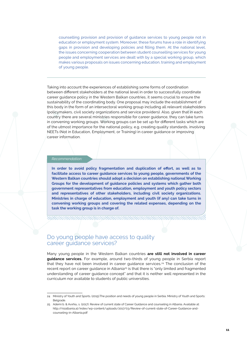counselling provision and provision of guidance services to young people not in education or employment system. Moreover, these forums have a role in identifying gaps in provision and developing policies and filling them. At the national level, the issues concerning cooperation between student counselling services for young people and employment services are dealt with by a special working group, which makes various proposals on issues concerning education, training and employment of young people.

Taking into account the experiences of establishing some forms of coordination between different stakeholders at the national level in order to successfully coordinate career guidance policy in the Western Balkan countries, it seems crucial to ensure the sustainability of the coordinating body. One proposal may include the establishment of this body in the form of an intersectoral working group including all relevant stakeholders (policymakers, civil society organizations and service providers). Also, given that in each country there are several ministries responsible for career guidance, they can take turns in convening working groups. Working groups can be set up for different tasks which are of the utmost importance for the national policy, e.g. creating quality standards, involving NEETs (Not in Education, Employment, or Training) in career guidance or improving career information.

### *Recommendation:*

**In order to avoid policy fragmentation and duplication of effort, as well as to facilitate access to career guidance services to young people, governments of the Western Balkan countries should adopt a decision on establishing national Working Groups for the development of guidance policies and systems which gather both government representatives from education, employment and youth policy sectors and representatives of other stakeholders, including civil society organizations. Ministries in charge of education, employment and youth (if any) can take turns in convening working groups and covering the related expenses, depending on the task the working group is in charge of.**

### Do young people have access to quality career guidance services?

Many young people in the Western Balkan countries **are still not involved in career guidance services.** For example, around two-thirds of young people in Serbia report that they have not been involved in career guidance services.<sup>24</sup> The conclusion of the recent report on career guidance in Albania<sup>25</sup> is that there is "only limited and fragmented understanding of career guidance concept" and that it is neither well represented in the curriculum nor available to students of public universities.

<sup>24</sup> Ministry of Youth and Sports. (2015).The position and needs of young people in Serbia. Ministry of Youth and Sports: Belgrade.

<sup>25</sup> Ademi b. & Avxhiu, s. (2017). Review of current state of Career Guidance and counseling in Albania. Available at: http://risialbania.al/index/wp-content/uploads/2017/03/Review-of-current-state-of-Career-Guidance-andcounseling-in-Albania.pdf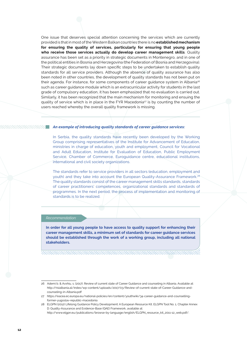One issue that deserves special attention concerning the services which are currently provided is that in most of the Western Balkan countries there is no **established mechanism for ensuring the quality of services, particularly for ensuring that young people who receive those services actually do develop career management skills**. Quality assurance has been set as a priority in strategic documents in Montenegro, and in one of the political entities in Bosnia and Herzegovina (the Federation of Bosnia and Herzegovina). Their strategic documents lay down specific steps to be undertaken to establish quality standards for all service providers. Although the absence of quality assurance has also been noted in other countries, the development of quality standards has not been put on their agenda. For instance, for some components of career guidance system in Albania<sup>26</sup> such as career guidance module which is an extracurricular activity for students in the last grade of compulsory education, it has been emphasized that no evaluation is carried out. Similarly, it has been recognized that the main mechanism for monitoring and ensuing the quality of service which is in place in the FYR Macedonia<sup>27</sup> is by counting the number of users reached whereby the overall quality framework is missing.

### *An example of introducing quality standards of career guidance services:*

In Serbia, the quality standards have recently been developed by the Working Group comprising representatives of the Institute for Advancement of Education, ministries in charge of education, youth and employment, Council for Vocational and Adult Education, Institute for Evaluation of Education, Public Employment Service, Chamber of Commerce, Euroguidance centre, educational institutions, international and civil society organizations.

The standards refer to service providers in all sectors (education, employment and youth) and they take into account the European Quality-Assurance Framework.28 The quality standards consist of the career management skills standards, standards of career practitioners' competences, organizational standards and standards of programmes. In the next period, the process of implementation and monitoring of standards is to be realized.

### *Recommendation:*

**In order for all young people to have access to quality support for enhancing their career management skills, a minimum set of standards for career guidance services should be established through the work of a working group, including all national stakeholders.**

<sup>26</sup> Ademi b. & Avxhiu, s. (2017). Review of current state of Career Guidance and counseling in Albania. Available at: [http://risialbania.al/index/wp-content/uploads/2017/03/Review-of-current-state-of-Career-Guidance-and](http://risialbania.al/index/wp-content/uploads/2017/03/Review-of-current-state-of-Career-Guidance-and-counseling-in-Albania.pdf)[counseling-in-Albania.pdf](http://risialbania.al/index/wp-content/uploads/2017/03/Review-of-current-state-of-Career-Guidance-and-counseling-in-Albania.pdf) 

<sup>27</sup> [https://eacea.ec.europa.eu/national-policies/en/content/youthwiki/34-career-guidance-and-counselling](https://eacea.ec.europa.eu/national-policies/en/content/youthwiki/34-career-guidance-and-counselling-former-yugoslav-republic-macedonia)[former-yugoslav-republic-macedonia](https://eacea.ec.europa.eu/national-policies/en/content/youthwiki/34-career-guidance-and-counselling-former-yugoslav-republic-macedonia)

<sup>28</sup> ELGPN (2012) Lifelong Guidance Policy Development: A European Resource Kit. ELGPN Tool No. 1, Chapter Annex D: Quality-Assurance and Evidence-Base (QAE) Framework, available at: [http://www.elgpn.eu/publications/browse-by-language/english/ELGPN\\_resource\\_kit\\_2011-12\\_web.pdf/.](http://www.elgpn.eu/publications/browse-by-language/english/ELGPN_resource_kit_2011-12_web.pdf/)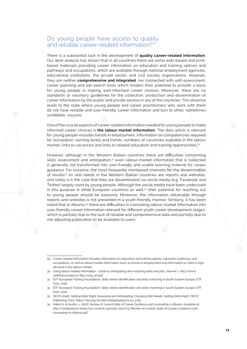### Do young people have access to quality and reliable career-related information?<sup>29</sup>

There is a substantial lack in the development of **quality career-related information**. Our desk analysis has shown that in all countries there are some web-based and printbased materials providing career information on education and training options and pathways and occupations, which are available through national employment agencies, educational institutions, the private sector, and civil society organizations. However, they are neither **comprehensive and integrated**, nor connected with self-assessment, career planning and job-search tools which hinders their potential to provide a basis for young people in making well-informed career choices. Moreover, there are no standards or voluntary guidelines for the collection, production and dissemination of career information by the public and private sectors in any of the countries. This absence leads to the state where young people and career practitioners who work with them do not have reliable and user-friendly career information and turn to other, sometimes unreliable, sources.

One of the crucial aspects of career-related information needed for young people to make informed career choices is **the labour market information**. The data which is relevant for young people includes trends in employment, information on competencies required for occupation, earning levels and trends, numbers of vacancies available in the labour market, links to vacancies and links to related education and training opportunities.30

However, although in the Western Balkan countries there are difficulties concerning skills assessment and anticipation,<sup>31</sup> even labour-market information that is collected is generally not transformed into user-friendly and usable learning material for career guidance. For instance, the most frequently mentioned channels for the dissemination of results<sup>32</sup> on skill needs in the Western Balkan countries are reports and websites, and rarely is it the case that they are disseminated via social media (e.g. Facebook and Twitter) largely used by young people. Although the social media have been underused in this purpose in other European countries as well,<sup>33</sup> their potential for reaching out to young people should be explored. Moreover, the information obtainable through reports and websites is not presented in a youth-friendly manner. Similarly, it has been noted that in Albania,34 there are difficulties in translating labour market information into user-friendly career information relevant for different youth career development stages, which is partially due to the lack of reliable and comprehensive data and partially due to not adjusting publication to be available to users.

<sup>29</sup> Career-related information includes information on education and training options, education, pathways and occupations, as well as labour marker information (such as trends in employment and information on skills in high demand in the labour market.

<sup>30</sup> Using labour market information - Guide to anticipating and matching skills and jobs, Volume 1, http://www. cedefop.europa.eu/files/2215\_en.pdf

<sup>31</sup> ETF (European Training Foundation), Skills needs identification and skills matching in South Eastern Europe, ETF, Turin, 2016.

<sup>32</sup> ETF (European Training Foundation), Skills needs identification and skills matching in South Eastern Europe, ETF, Turin, 2016.

<sup>33</sup> OECD (2016), Getting Skills Right: Assessing and Anticipating Changing Skill Needs, Getting Skills Right, OECD Publishing, Paris,<https://doi.org/10.1787/9789264252073-en>, p.65

<sup>34</sup> Ademi b. & Avxhiu, s. (2017). Review of current state of Career Guidance and counseling in Albania. Available at: [http://risialbania.al/index/wp-content/uploads/2017/03/Review-of-current-state-of-Career-Guidance-and](http://risialbania.al/index/wp-content/uploads/2017/03/Review-of-current-state-of-Career-Guidance-and-counseling-in-Albania.pdf)[counseling-in-Albania.pdf](http://risialbania.al/index/wp-content/uploads/2017/03/Review-of-current-state-of-Career-Guidance-and-counseling-in-Albania.pdf)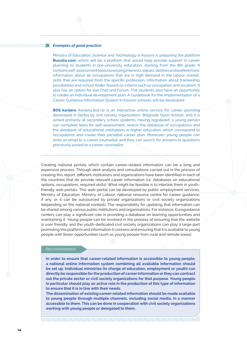### *Examples of good practice:*

**MANAMANT** 

Ministry of Education, Science and Technology in Kosovo is preparing the platform **Busulla.com**, which will be a platform that would help provide support in career planning to students in pre-university education, starting from the 8th grade. It contains self-assessment tools (assessing interests, values, abilities and preferences), information about all occupations that are in high demand in the labour market, skills that are required from the specific profession, information about traineeship possibilities and school finder (based on criteria such as occupation and location). It also has an option for live Chat and Forum. The students also have an opportunity to create an individual development plan. A Guidebook for the Implementation of a Career Guidance Information System in Kosovo schools will be developed.

**BOS karijera** (karijera.bos.rs) is an interactive online service for career planning developed in Serbia by civil society organization, Belgrade Open School, and it is aimed primarily at secondary school students. Having registered, a young person can complete tests for self-assessment, search the database of occupations and the database of educational institutions in higher education which correspond to occupations and create their personal career plan. Moreover, young people can write an email to a career counsellor and they can search for answers to questions previously posed to a career counsellor.

Creating national portals which contain career-related information can be a long and expensive process. Through desk analysis and consultations carried out in the process of creating this report, different institutions and organizations have been identified in each of the countries that do provide relevant career information (i.e. databases on educational options, occupations, required skills). What might be feasible is to interlink them in youthfriendly web portals. This web-portal can be developed by public employment services, Ministry of Education, Ministry of Labour, national resource centre for career guidance, if any, or it can be outsourced by private organizations or civil society organizations (depending on the national context). The responsibility for updating that information can be shared among various public institutions and organizations. For instance, Euroguidance centers can play a significant role in providing a database on learning opportunities and maintaining it. Young people can be involved in the process of ensuring that the website is user friendly and the youth-dedicated civil society organizations can play a large part promoting this platform and information it contains and ensuring that it is available to young people with fewer opportunities (such as young people from rural and remote areas).

### *Recommendation:*

**In order to ensure that career-related information is accessible to young people, a national online information system combining all available information should be set up. Individual ministries (in charge of education, employment or youth) can directly be responsible for the production of career information or they can contract out the private sector or civil society organizations for that purpose. Young people in particular should play an active role in the production of this type of information to ensure that it is in line with their needs.** 

**The dissemination of existing career-related information should be made available to young people through multiple channels, including social media, in a manner accessible to them. This can be done in cooperation with civil society organizations working with young people or delegated to them.**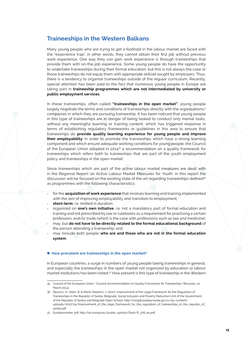### **Traineeships in the Western Balkans**

Many young people who are trying to get a foothold in the labour market are faced with the "experience trap", in other words, they cannot obtain their first job without previous work experience. One way they can gain work experience is through traineeships that provide them with on-the-job experience. Some young people do have the opportunity to undertake traineeships during their formal education, but this is not always the case or those traineeships do not equip them with appropriate skillset sought by employers. Thus, there is a tendency to organize traineeships outside of the regular curriculum. Recently, special attention has been paid to the fact that numerous young people in Europe are taking part in **traineeship programmes which are not intermediated by university or public employment services**.

In these traineeships, often called **"traineeships in the open market"**, young people largely negotiate the terms and conditions of traineeships directly with the organizations/ companies in which they are pursuing traineeship. It has been noticed that young people in this type of traineeships are in danger of being tasked to conduct only menial tasks, without any meaningful learning or training content, which has triggered response in terms of establishing regulatory frameworks or guidelines in this area to ensure that traineeships do **provide quality learning experience for young people and improve their employability**. In order to promote the traineeships which have a strong learning component and which ensure adequate working conditions for young people, the Council of the European Union adopted in 201435 a recommendation on a quality framework for traineeships which refers both to traineeships that are part of the youth employment policy and traineeships in the open market.

Since traineeships which are part of the active labour market measures are dealt with in the Regional Report on Active Labour Market Measures for Youth, in this report the discussion will be focused on the existing state of the art regarding traineeships defined<sup>36</sup> as programmes with the following characteristics:

- for the **acquisition of work experience** that involves learning and training implemented with the aim of improving employability and transition to employment;
- short-term, i.e. limited in duration;
- organized on **one's own initiative**, i.e. not a mandatory part of formal education and training and not prescribed by law or rulebooks as a requirement for practising a certain profession, and/or trade (which is the case with professions such as law and medicine);
- may, but **do not have to be directly related to the formal educational background** of the person attending a traineeship; and
- may include both people who are and those who are not in the formal education **system**.

#### ■ How prevalent are traineeships in the open market?

In European countries, a surge in numbers of young people taking traineeships in general, and especially the traineeships in the open market not organized by education or labour market institutions has been noted.37 How present is this type of traineeship in the Western

<sup>35</sup> Council of the European Union, "Council recommendation on Quality Framework for Traineeships" (Brussels, 10 March 2014).

<sup>36</sup> Djurovic, A., Velev, B. & Manić Radoičić, J. (2017). Improvement of the Legal Framework for the Regulation of Traineeships in the Republic of Serbia. Belgrade: Social Inclusion and Poverty Reduction Unit of the Government of the Republic of Serbia and Belgrade Open School, [http://socijalnoukljucivanje.gov.rs/wp-content/](http://socijalnoukljucivanje.gov.rs/wp-content/uploads/2017/04/Improvement_of_the_legal_framework_for_the_regulation_of_traineeships_in_the_republic_of_serbia.pdf) [uploads/2017/04/Improvement\\_of\\_the\\_legal\\_framework\\_for\\_the\\_regulation\\_of\\_traineeships\\_in\\_the\\_republic\\_of\\_](http://socijalnoukljucivanje.gov.rs/wp-content/uploads/2017/04/Improvement_of_the_legal_framework_for_the_regulation_of_traineeships_in_the_republic_of_serbia.pdf) serbia pdf

<sup>37</sup> Eurobarometer 378: [http://ec.europa.eu/public\\_opinion/flash/fl\\_378\\_en.pdf](http://ec.europa.eu/public_opinion/flash/fl_378_en.pdf)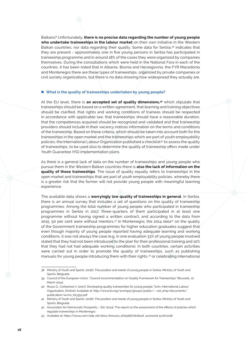Balkans? Unfortunately, **there is no precise data regarding the number of young people who undertake traineeships in the labour market** on their own initiative in the Western Balkan countries, nor data regarding their quality. Some data for Serbia,<sup>38</sup> indicates that they are present - approximately one in five young persons in Serbia has participated in traineeship programme and in around 18% of the cases they were organized by companies themselves. During the consultations which were held in the National Fora in each of the countries, it has been noted that in Albania, Bosnia and Herzegovina, the FYR Macedonia and Montenegro there are these types of traineeships, organized by private companies or civil society organizations, but there is no data showing how widespread they actually are.

#### ■ What is the quality of traineeships undertaken by young people?

At the EU level, there is **an accepted set of quality dimensions,39** which stipulate that traineeships should be based on a written agreement, that learning and training objectives should be clarified, that rights and working conditions of trainees should be respected in accordance with applicable law, that traineeships should have a reasonable duration, that the competences acquired should be recognized and validated and that traineeship providers should include in their vacancy notices information on the terms and conditions of the traineeship. Based on these criteria, which should be taken into account both for the traineeships in the open market and the traineeships which are part of youth employability policies, the International Labour Organization published a checklist<sup>40</sup> to assess the quality of traineeships, to be used also to determine the quality of traineeship offers made under Youth Guarantee (YG) implementation plans.

As there is a general lack of data on the number of traineeships and young people who pursue them in the Western Balkan countries there is **also the lack of information on the quality of those traineeships**. The issue of quality equally refers to traineeships in the open market and traineeships that are part of youth employability policies, whereby there is a greater risk that the former will not provide young people with meaningful learning experience.

The available data shows a **worryingly low quality of traineeships in general**. In Serbia, there is an annual survey that includes a set of questions on the quality of traineeship programmes. Among the total number of young people who participated in traineeship programmes in Serbia in 2017, three-quarters of them participated in at least one programme without having signed a written contract, and according to the data from 2015, 50 per cent were without mentors. $4<sup>1</sup>$  In Montenegro, the 2014 data $4<sup>2</sup>$  on the quality of the Government traineeship programmes for higher education graduates suggest that even though majority of young people reported having adequate learning and working conditions, it was not always the case (e.g. in one evaluation 33% of young people involved stated that they had not been introduced to the plan for their professional training and 10% that they had not had adequate working conditions). In both countries, certain activities were carried out in order to promote the quality of traineeships, such as publishing manuals for young people introducing them with their rights,<sup>43</sup> or celebrating International

<sup>38</sup> Ministry of Youth and Sports. (2016). The position and needs of young people in Serbia. Ministry of Youth and Sports: Belgrade.

<sup>39</sup> Council of the European Union, "Council recommendation on Quality Framework for Traineeships" (Brussels, 10 March 2014).

<sup>40</sup> Rosas G., Corbanese V. (2017). Developing quality traineeships for young people. Turin: International Labour Organization. [Online]. Available at: [http://www.ilo.org/wcmsp5/groups/public/---ed\\_emp/documents/](http://www.ilo.org/wcmsp5/groups/public/---ed_emp/documents/publication/wcms_613352.pdf) [publication/wcms\\_613352.pdf](http://www.ilo.org/wcmsp5/groups/public/---ed_emp/documents/publication/wcms_613352.pdf) 

<sup>41</sup> Ministry of Youth and Sports. (2016). The position and needs of young people in Serbia. Ministry of Youth and Sports: Belgrade.

<sup>42</sup> Association for Democratic Prosperity – Zid. (2014). The report on the assessment of the effects of policies which regulate traineeships in Montenegro.

<sup>43</sup> Available at: [https://issuu.com/adp-zid/docs/brosura\\_efa096b7dc6e2d,](https://issuu.com/adp-zid/docs/brosura_efa096b7dc6e2d) accessed 14.06.2018.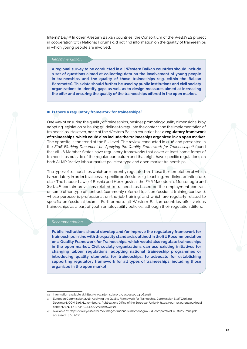Interns' Day.44 In other Western Balkan countries, the Consortium of the WeB4YES project in cooperation with National Forums did not find information on the quality of traineeships in which young people are involved.

#### *Recommendation:*

**A regional survey to be conducted in all Western Balkan countries should include a set of questions aimed at collecting data on the involvement of young people in traineeships and the quality of those traineeships (e.g. within the Balkan Barometer). This data should further be used by public institutions and civil society organizations to identify gaps as well as to design measures aimed at increasing the offer and ensuring the quality of the traineeships offered in the open market.** 

### ■ Is there a regulatory framework for traineeships?

One way of ensuring the quality of traineeships, besides promoting quality dimensions, is by adopting legislation or issuing guidelines to regulate the content and the implementation of traineeships. However, none of the Western Balkan countries has **a regulatory framework of traineeships, which could also include the traineeships organized in an open market**. The opposite is the trend at the EU level. The review conducted in 2016 and presented in the *Staff Working Document on Applying the Quality Framework for Traineeships<sup>45</sup>* found that all 28 Member States have regulatory frameworks that cover at least some forms of traineeships outside of the regular curriculum and that eight have specific regulations on both ALMP (Active labour market policies)-type and open market traineeships.

The types of traineeships which are currently regulated are those the completion of which is mandatory in order to access a specific profession (e.g. teaching, medicine, architecture, etc.). The Labour Laws of Bosnia and Herzegovina, the FYR Macedonia, Montenegro and Serbia46 contain provisions related to traineeships based on the employment contract or some other type of contract (commonly referred to as professional training contract), whose purpose is professional on-the-job training, and which are regularly related to specific professional exams. Furthermore, all Western Balkan countries offer various traineeships as a part of youth employability policies, although their regulation differs.

#### *Recommendation:*

**Public institutions should develop and/or improve the regulatory framework for traineeships in line with the quality standards outlined in the EU Recommendation on a Quality Framework for Traineeships, which would also regulate traineeships in the open market. Civil society organizations can use existing initiatives for changing labour regulations, adopting national traineeship programmes or introducing quality elements for traineeships, to advocate for establishing supporting regulatory framework for all types of traineeships, including those organized in the open market.**

<sup>44</sup> Information available at: [http://www.internsday.org/,](http://www.internsday.org/) accessed 14.06.2018.

<sup>45</sup> European Commission. 2016. Applying the Quality Framework for Traineeship, Commission Staff Working Document, COM 646, (Luxembourg, Publications Office of the European Union)), [https://eur-lex.europa.eu/legal](https://eur-lex.europa.eu/legal-content/EN/TXT/?uri=CELEX%3A52016SC0324)[content/EN/TXT/?uri=CELEX%3A52016SC0324](https://eur-lex.europa.eu/legal-content/EN/TXT/?uri=CELEX%3A52016SC0324)

<sup>46</sup> Available at: [http://www.youseefor.me/images/manuals/montenegro/Zid\\_comparativeEU\\_study\\_mne.pdf](http://www.youseefor.me/images/manuals/montenegro/Zid_comparativeEU_study_mne.pdf), accessed 14.06.2018.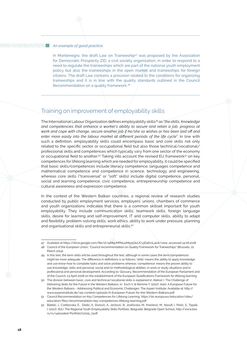### *An example of good practice:*

In Montenegro, the draft Law on Traineeship<sup>47</sup> was proposed by the Association for Democratic Prosperity ZID, a civil society organization, in order to respond to a need to regulate the traineeships which are part of the national youth employment policy but also the traineeships in the open market and traineeships for foreign citizens. The draft Law contains a provision related to the conditions for organizing traineeships and it is in line with the quality standards outlined in the Council Recommendation on a quality framework.48

### Training on improvement of employability skills

The International Labour Organization defines employability skills<sup>49</sup> as "*the skills, knowledge and competencies that enhance a worker's ability to secure and retain a job, progress at work and cope with change, secure another job if he/she so wishes or has been laid off and enter more easily into the labour market at different periods of the life cycle*". In line with such a definition, employability skills could encompass basic and core skills not only related to the specific sector or occupational field but also those technical/vocational/ professional skills and competences which typically vary from one sector of the economy or occupational field to another.<sup>50</sup> Taking into account the revised EU framework<sup>51</sup> on key competences for lifelong learning which are needed for employability, it could be specified that basic skills/competences include literacy competence, languages competence and mathematical competence and competence in science, technology and engineering, whereas core skills ("transversal" or "soft" skills) include digital competence, personal, social and learning competence, civic competence, entrepreneurship competence and cultural awareness and expression competence.

In the context of the Western Balkan countries, a regional review of research studies conducted by public employment services, employers' unions, chambers of commerce and youth organizations indicates that there is a common skillset important for youth employability. They include communication skills, teamwork skills, foreign language skills, desire for learning and self-improvement, IT and computer skills, ability to adapt and flexibility, problem-solving skills, work ethics, ability to work under pressure, planning and organisational skills and entrepreneurial skills.<sup>52</sup>

<sup>47</sup> Available at <https://drive.google.com/file/d/14MqvMPblusM5x5QuUC13Daltv1L4ivit/view>, accessed 14.06.2018.

<sup>48</sup> Council of the European Union, "Council recommendation on Quality Framework for Traineeships" (Brussels, 10 March 2014).

<sup>49</sup> In this text, the term skills will be used throughout the text, although in some cases the term competences might be more adequate. The difference in definitions is as follows: 'skills' means the ability to apply knowledge and use know-how to complete tasks and solve problems whereas 'competence' means the proven ability to use knowledge, skills and personal, social and/or methodological abilities, in work or study situations and in professional and personal development. According to: Glossary, Recommendation of the European Parliament and of the Council, 23 April 2008 on the establishment of the European Qualifications Framework for lifelong learning.

<sup>50</sup> The division between basic, core and technical/vocational skills is explained in: Aleksić I. The Challenge of Delivering Skills for the Future in the Western Balkans. in: Esch V. & Remme Y. (2017). (eds). A European Future for the Western Balkans - Addressing Political and Economic Challenges. The Aspen Institute. Available at: [http://](http://www.aspeninstitute.de/wp-content/uploads/A-European-Future-for-the-Western-Balkans.pdf) [www.aspeninstitute.de/wp-content/uploads/A-European-Future-for-the-Western-Balkans.pdf](http://www.aspeninstitute.de/wp-content/uploads/A-European-Future-for-the-Western-Balkans.pdf).

<sup>51</sup> Council Recommendation on Key Competences for Lifelong Learning, [https://ec.europa.eu/education/sites/](https://ec.europa.eu/education/sites/education/files/recommendation-key-competences-lifelong-learning.pdf) [education/files/recommendation-key-competences-lifelong-learning.pdf](https://ec.europa.eu/education/sites/education/files/recommendation-key-competences-lifelong-learning.pdf) 

<sup>52</sup> Batelić, J., Cvetkovska, E., Dedić, A., Đurović, A., Jevtović, B., Josifovska, M., Knežević, M., Nasufi, I., Pešić, S., Topalli, I. (2017). (Ed.). The Regional Youth Employability Skills Portfolio. Belgrade: Belgrade Open School, [http://www.bos.](http://www.bos.rs/rs/uploaded/Portfolio 25_7.pdf) [rs/rs/uploaded/Portfolio%2025\\_7.pdf](http://www.bos.rs/rs/uploaded/Portfolio 25_7.pdf)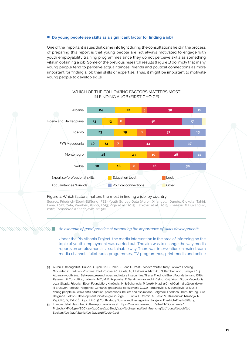### ■ Do young people see skills as a significant factor for finding a job?

One of the important issues that came into light during the consultations held in the process of preparing this report is that young people are not always motivated to engage with youth employability training programmes since they do not perceive skills as something vital in obtaining a job. Some of the previous research results (Figure 1) do imply that many young people tend to perceive acquaintances, friends and political connections as more important for finding a job than skills or expertise. Thus, it might be important to motivate young people to develop skills.



### Which of the following factors matters most in finding a job (first choice)

### Figure 1: Which factors matters the most in finding a job, by country

Source: Friedrich-Ebert-Stiftung (FES) Youth Survey Data (Auron,,Xhangolli, Dundo, Gjokuta, Tahiri, Lena, 2012; Çela, Kamberi, & Pici, 2013; Žiga et al., 2015; Latkovic et al., 2013; Knežević & Đukanović, 2016; Tomanović & Stanojević, 2015)<sup>53</sup>

### *An example of good practice of promoting the importance of skills development*<sup>54</sup>

Under the RisiAlbania Project, the media intervention in the area of informing on the topic of youth employment was carried out. The aim was to change the way media reports on employment in a sustainable way. There was intervention on mainstream media channels (pilot radio programmes, TV programmes, print media and online

<sup>53</sup> Auron, P.,Xhangolli K., Dundo, J., Gjokuta, B., Tahiri, Z. Lena O. (2012). Kosovo Youth Study: Forward Looking, Grounded in Tradition. Prishtina: IDRA Kosova, 2012; Cela, A., T. Fshazi, A. Mazniku, G. Kamberi and J. Smaja. 2013. Albanian youth 2011: Between present hopes and future insecurities. Tirana: Friedrich Ebert Foundation and IDRA Research & Consulting; Latkovic, M.T., M. B. Popovska, E. Serafimovska and A. Cekic. 2013. Youth Study Macedonia 2013. Skopje: Friedrich Ebert Foundation; Knežević, M. & Đukanović, P. (2016). Mladi u Crnoj Gori – društveni dekor ili društveni kapital? Podgorica; Centar za građansko obrazovanje (CGO); Tomanović, S. & Stanojević, D. (2015). Young people in Serbia 2015: situation, perceptions, beliefs and aspirations. Belgrade: Friedrich Ebert Stiftung Büro Belgrade, SeConS development Initiative group; Žiga, J., Turčila, L., Osmić, A., Bašić, S., Džananović Miraščija, N., Kapidžić, D., Brkić Šmigoc J. (2015). Youth study Bosnia and Herzegovina. Sarajevo: Friedrich-Ebert-Stiftung.

<sup>54</sup> In more detail described in the report available at: [https://www.shareweb.ch/site/EI/Documents/](https://www.shareweb.ch/site/EI/Documents/Projects/7F-08310/SDC - Case Study - Inspiring Influencing Young Job Seekers - Albania - 2016 (en).pdf) [Projects/7F-08310/SDC%20-%20Case%20Study%20-%20Inspiring%20Influencing%20Young%20Job%20](https://www.shareweb.ch/site/EI/Documents/Projects/7F-08310/SDC - Case Study - Inspiring Influencing Young Job Seekers - Albania - 2016 (en).pdf) [Seekers%20-%20Albania%20-%202016%20\(en\).pdf](https://www.shareweb.ch/site/EI/Documents/Projects/7F-08310/SDC - Case Study - Inspiring Influencing Young Job Seekers - Albania - 2016 (en).pdf)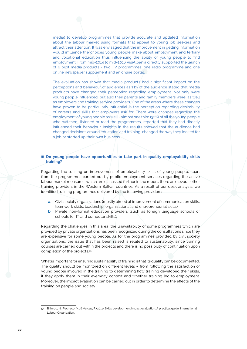media) to develop programmes that provide accurate and updated information about the labour market using formats that appeal to young job seekers and attract their attention. It was envisaged that the improvement in getting information would influence the choices young people make about employment and tertiary and vocational education thus influencing the ability of young people to find employment. From mid-2014 to mid-2016 RisiAlbania directly supported the launch of 6 pilot media products - two TV programmes, one radio programme and one online newspaper supplement and an online portal.

The evaluation has shown that media products had a significant impact on the perceptions and behaviour of audiences as 71% of the audience stated that media products have changed their perception regarding employment. Not only were young people influenced, but also their parents and family members were, as well as employers and training service providers. One of the areas where these changes have proven to be particularly influential is the perception regarding desirability of careers and skills that employers ask for. There were changes regarding the employment of young people as well - almost one third (32%) of all the young people who watched, listened or read the programmes, reported that they had directly influenced their behaviour. Insights in the results showed that the audience had changed decisions around education and training, changed the way they looked for a job or started up their own business.

### **Do young people have opportunities to take part in quality employability skills training?**

Regarding the training on improvement of employability skills of young people, apart from the programmes carried out by public employment services regarding the active labour market measures, which are discussed further in the report, there are several other training providers in the Western Balkan countries. As a result of our desk analysis, we identified training programmes delivered by the following providers:

- **a.** Civil society organizations (mostly aimed at improvement of communication skills, teamwork skills, leadership, organizational and entrepreneurial skills);
- **b.** Private non-formal education providers (such as foreign language schools or schools for IT and computer skills).

Regarding the challenges in this area, the unavailability of some programmes which are provided by private organizations has been recognized during the consultations since they are expensive for some young people. As for the programmes provided by civil society organizations, the issue that has been raised is related to sustainability, since training courses are carried out within the projects and there is no possibility of continuation upon completion of the projects.55

What is important for ensuring sustainability of training is that its quality can be documented. The quality should be monitored on different levels – from following the satisfaction of young people involved in the training to determining how training developed their skills, if they apply them in their everyday context and whether training led to employment. Moreover, the impact evaluation can be carried out in order to determine the effects of the training on people and society.

<sup>55</sup> Billorou, N., Pacheco, M., & Vargas, F. (2011). Skills development impact evaluation: A practical guide. International Labour Organization.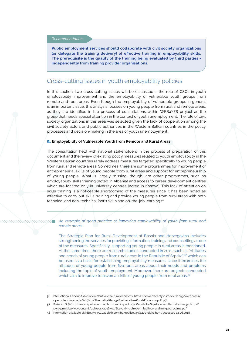### *Recommendation:*

**Public employment services should collaborate with civil society organizations (or delegate the training delivery) of effective training in employability skills. The prerequisite is the quality of the training being evaluated by third parties independently from training provider organisations.**

### Cross-cutting issues in youth employability policies

In this section, two cross-cutting issues will be discussed – the role of CSOs in youth employability improvement and the employability of vulnerable youth groups from remote and rural areas. Even though the employability of vulnerable groups in general is an important issue, this analysis focuses on young people from rural and remote areas, as they are identified in the process of consultations within WEB4YES project as the group that needs special attention in the context of youth unemployment. The role of civil society organizations in this area was selected given the lack of cooperation among the civil society actors and public authorities in the Western Balkan countries in the policy processes and decision-making in the area of youth unemployment.

#### **a. Employability of Vulnerable Youth from Remote and Rural Areas**

The consultation held with national stakeholders in the process of preparation of this document and the review of existing policy measures related to youth employability in the Western Balkan countries rarely address measures targeted specifically to young people from rural and remote areas. Sometimes, there are some programmes for improvement of entrepreneurial skills of young people from rural areas and support for entrepreneurship of young people. What is largely missing, though, are other programmes, such as employability skills training (noted in Albania) and access to career development centres which are located only in university centres (noted in Kosovo). This lack of attention on skills training is a noticeable shortcoming of the measures since it has been noted as effective to carry out skills training and provide young people from rural areas with both technical and non-technical (soft) skills and on-the-job learning.56

### *An example of good practice of improving employability of youth from rural and remote areas:*

The Strategic Plan for Rural Development of Bosnia and Herzegovina includes strengthening the services for providing information, training and counselling as one of the measures. Specifically, supporting young people in rural areas is mentioned. At the same time, there are research studies conducted in 2011, such as "Attitudes and needs of young people from rural areas in the Republic of Srpska",57 which can be used as a basis for establishing employability measures, since it examines the attitudes of young people from five rural areas about their needs and problems including the topic of youth employment. Moreover, there are projects conducted which aim to improve transversal skills of young people from rural areas.<sup>58</sup>

<sup>56</sup> International Labour Association. Youth in the rural economy, https://www.decentjobsforyouth.org/wordpress/ wp-content/uploads/2017/11/Thematic-Plan-3-Youth-in-the-Rural-Economy.pdf, p.7

<sup>57</sup> Dušanić, S. (2011). Stavovi i potrebe mladih iz ruralnih područja Republike Srpske –r ezultati istraživanja, [http://](http://www.pm.rs.ba/wp-content/uploads/2016/01/Stavovi-i-potrebe-mladih-u-ruralnim-podrucjima.pdf) [www.pm.rs.ba/wp-content/uploads/2016/01/Stavovi-i-potrebe-mladih-u-ruralnim-podrucjima.pdf](http://www.pm.rs.ba/wp-content/uploads/2016/01/Stavovi-i-potrebe-mladih-u-ruralnim-podrucjima.pdf) 

<sup>58</sup> Information available at: [http://www.uzopibih.com.ba/realizovani%20projekti.html,](http://www.uzopibih.com.ba/realizovani projekti.html) accessed 14.06.2018.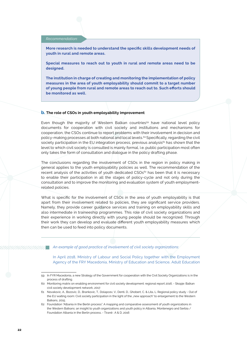### *Recommendation:*

**More research is needed to understand the specific skills development needs of youth in rural and remote areas.** 

**Special measures to reach out to youth in rural and remote areas need to be designed.**

**The institution in charge of creating and monitoring the implementation of policy measures in the area of youth employability should commit to a target number of young people from rural and remote areas to reach out to. Such efforts should be monitored as well.**

#### **b. The role of CSOs in youth employability improvement**

Even though the majority of Western Balkan countries<sup>59</sup> have national level policy documents for cooperation with civil society and institutions and mechanisms for cooperation, the CSOs continue to report problems with their involvement in decision and policy-making processes at both national and local levels.60 Specifically, regarding the civil society participation in the EU integration process, previous analysis<sup>61</sup> has shown that the level to which civil society is consulted is mainly formal, i.e. public participation most often only takes the form of consultation and dialogue in the policy drafting phase.

The conclusions regarding the involvement of CSOs in the region in policy making in general applies to the youth employability policies as well. The recommendation of the recent analysis of the activities of youth dedicated CSOs<sup>62</sup> has been that it is necessary to enable their participation in all the stages of policy-cycle and not only during the consultation and to improve the monitoring and evaluation system of youth employmentrelated policies.

What is specific for the involvement of CSOs in the area of youth employability is that apart from their involvement related to policies, they are significant service providers. Namely, they provide career guidance services and training on employability skills and also intermediate in traineeship programmes. This role of civil society organizations and their experience in working directly with young people should be recognized. Through their work they can develop and evaluate different youth employability measures which then can be used to feed into policy documents.

*An example of good practice of involvement of civil society organizations:* 

In April 2018, Ministry of Labour and Social Policy together with the Employment Agency of the FRY Macedonia, Ministry of Education and Science, Adult Education

<sup>59</sup> In FYR Macedonia, a new Strategy of the Government for cooperation with the Civil Society Organizations is in the process of drafting.

<sup>60</sup> Monitoring matrix on enabling environment for civil society development: regional report 2016. - Skopje: Balkan civil society development network, 2017.

<sup>61</sup> Novakovic, A., Bozovic, D., Brankovic, T., Dolapcev, V., Denti, D., Ghobert, C. & Lita, L. Regional policy study - Out of the EU waiting room: Civil society participation in the light of the "new approach" to enlargement to the Western Balkans, 2015.

<sup>62</sup> Foundation "Albania in the Berlin process". A mapping and comparative assessment of youth organizations in the Western Balkans: an insight to youth organizations and youth policy in Albania, Montenegro and Serbia / Foundation Albania in the Berlin process. - Tiranë : A & D, 2016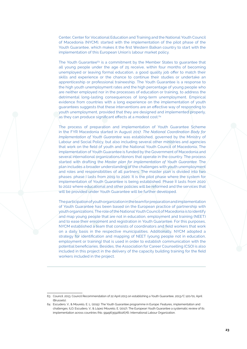Center, Center for Vocational Education and Training and the National Youth Council of Macedonia (NYCM), started with the implementation of the pilot phase of the Youth Guarantee, which makes it the first Western Balkan country to start with the implementation of this European Union's labour market policy.

The Youth Guarantee<sup>63</sup> is a commitment by the Member States to quarantee that all young people under the age of 25 receive, within four months of becoming unemployed or leaving formal education, a good quality job offer to match their skills and experience or the chance to continue their studies or undertake an apprenticeship or professional traineeship. The Youth Guarantee is a response to the high youth unemployment rates and the high percentage of young people who are neither employed nor in the processes of education or training, to address the detrimental long-lasting consequences of long-term unemployment. Empirical evidence from countries with a long experience on the implementation of youth guarantees suggests that these interventions are an effective way of responding to youth unemployment, provided that they are designed and implemented properly, as they can produce significant effects at a modest cost.<sup>64</sup>

The process of preparation and implementation of Youth Guarantee Scheme in the FYR Macedonia started in August 2017. *The National Coordination Body for Implementation of Youth Guarantee* was established, governed by the Ministry of Labour and Social Policy, but also including several other ministries and agencies that work on the field of youth and the National Youth Council of Macedonia. The implementation of Youth Guarantee is funded by the Government of Macedonia and several international organizations/donors that operate in the country. The process started with drafting the *Master plan for implementation of Youth Guarantee*. The plan includes a broader understanding of the challenges with youth unemployment and roles and responsibilities of all partners. The master plan is divided into two phases: phase I lasts from 2019 to 2020. It is the pilot phase where the system for implementation of Youth Guarantee is being established. Phase II lasts from 2020 to 2022 where educational and other policies will be reformed and the services that will be provided under Youth Guarantee will be further developed.

The participation of youth organization in the team for preparation and implementation of Youth Guarantee has been based on the European practice of partnership with youth organizations. The role of the National Youth Council of Macedonia is to identify and map young people that are not in education, employment and training (NEET) and to ease their enrolment and registration in Youth Guarantee. For this purposes, NYCM established a team that consists of coordinators and field workers that work on a daily basis in the respective municipalities. Additionally, NYCM adopted a strategy for identification and mapping of NEET (young people not in education, employment or training) that is used in order to establish communication with the potential beneficiaries. Besides, the Association for Career Counselling (CSO) is also included in this project in the delivery of the capacity building training for the field workers included in the project.

<sup>63</sup> Council. 2013. Council Recommendation of 22 April 2013 on establishing a Youth Guarantee, 2013/C 120/01, April (Brussels).

<sup>64</sup> Escudero, V., & Mourelo, E. L. (2015). The Youth Guarantee programme in Europe: Features, implementation and challenges. ILO; Escudero, V., & López Mourelo, E. (2017). The European Youth Guarantee a systematic review of its implementation across countries (No. 994963592802676). International Labour Organization.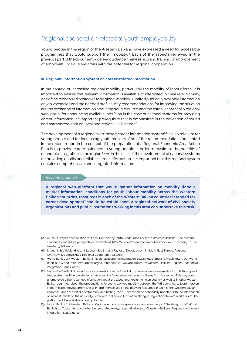### Regional cooperation related to youth employability

Young people in the region of the Western Balkans have expressed a need for accessible programmes that would support their mobility.65 Each of the aspects reviewed in the previous part of the document – career guidance, traineeships and training on improvement of employability skills are areas with the potential for regional cooperation.

### ■ Regional information system on career-related information

In the context of increasing regional mobility, particularly the mobility of labour force, it is important to ensure that relevant information is available to interested job seekers. Namely, one of the recognized obstacles for regional mobility is limited publically available information on job vacancies and the needed profiles. Key recommendations for improving the situation are the exchange of information about the skills required and the establishment of a regional web-portal for announcing available jobs.<sup>66</sup> As in the case of national systems for providing career information, an important prerequisite that is emphasized is the collection of sound and harmonized data on local and regional skill needs.<sup>67</sup>

The development of a regional web-based career information system $68$  is also relevant for young people and for increasing youth mobility. One of the recommendations presented in the recent report in the context of the preparation of a Regional Economic Area Action Plan is to provide career guidance to young people in order to maximize the benefits of economic integration in the region.<sup>69</sup> As in the case of the development of national systems for providing quality and reliable career information, it is important that this regional system contains comprehensive and integrated information.

### *Recommendation:*

**A regional web-platform that would gather information on mobility (labour market information, conditions for youth labour mobility across the Western Balkan countries, resources in each of the Western Balkan countries intended for career development) should be established. A regional network of civil society organizations and public institutions working in this area can undertake this task.**

<sup>65</sup> ALDA - European Association for Local Democracy. (2016). Youth mobility in the Western Balkans – the present challenges and future perspectives, available at: [http://www.alda-europe.eu/public/doc/Youth\\_Mobility\\_in\\_the\\_](http://www.alda-europe.eu/public/doc/Youth_Mobility_in_the_Western_Balkans.pdf) [Western\\_Balkans.pdf](http://www.alda-europe.eu/public/doc/Youth_Mobility_in_the_Western_Balkans.pdf) 

<sup>66</sup> Shani, N., & Vidovic, H. (2015). Labour Mobility as a Factor of Development in South-East Europe: Regional Overview. T. Dedovic (Ed.). Regional Cooperation Council.

<sup>67</sup> World Bank. 2017. Western Balkans: Regional economic integration issues notes (English). Washington, DC: World Bank. [http://documents.worldbank.org/curated/en/521241498836042507/Western-Balkans-Regional-economic](http://documents.worldbank.org/curated/en/521241498836042507/Western-Balkans-Regional-economic-integration-issues-notes)[integration-issues-notes](http://documents.worldbank.org/curated/en/521241498836042507/Western-Balkans-Regional-economic-integration-issues-notes)

<sup>68</sup> Within the WeB4YES project (more information can be found at http://www.web4yes.eu/about.html), this type of Web platform will be developed as an e-service for unemployed young citizens from the region. This way young unemployed citizens can get information about the labour market in their own country as well as in other Western Balkan countries, about the preconditions for young workers mobility between the WB countries, to learn more on steps in career development and to inform themselves on the relevant resources in each of the Western Balkan countries. Upon the initial development and testing, the e-Service will be continually updated with the information on newest trends on the national job markets, policy and legislation changes, regulations toward workers, etc. The platform will be available at web4jobs.info.

<sup>69</sup> World Bank. 2017. Western Balkans: Regional economic integration issues notes (English). Washington, DC: World Bank. http://documents.worldbank.org/curated/en/521241498836042507/Western-Balkans-Regional-economicintegration-issues-notes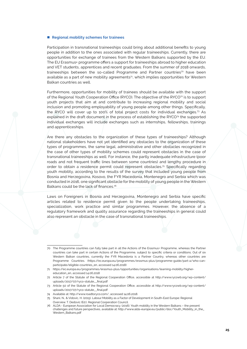#### ■ Regional mobility schemes for trainees

Participation in transnational traineeships could bring about additional benefits to young people in addition to the ones associated with regular traineeships. Currently, there are opportunities for exchange of trainees from the Western Balkans supported by the EU. The EU Erasmus+ programme offers a support for traineeships abroad to higher education and VET students, apprentices and recent graduates. From the summer of 2018 onwards, traineeships between the so-called Programme and Partner countries<sup>70</sup> have been available as a part of new mobility agreements<sup>71</sup>, which implies opportunities for Western Balkan countries as well.

Furthermore, opportunities for mobility of trainees should be available with the support of the Regional Youth Cooperation Office (RYCO). The objective of the RYCO<sup>72</sup> is to support youth projects that aim at and contribute to increasing regional mobility and social inclusion and promoting employability of young people among other things. Specifically, the RYCO will cover up to 100% of total project costs for individual exchanges.73 As explained in the draft document in the process of establishing the RYCO<sup>74</sup> the supported individual exchanges will include exchanges such as internships, fellowships, trainings and apprenticeships.

Are there any obstacles to the organization of these types of traineeships? Although national stakeholders have not yet identified any obstacles to the organization of these types of programmes, the same legal, administrative and other obstacles recognized in the case of other types of mobility schemes could represent obstacles in the case of transnational traineeships as well. For instance, the partly inadequate infrastructure (poor roads and not frequent traffic lines between some countries) and lengthy procedure in order to obtain a residence permit could represent obstacles.<sup>75</sup> Specifically regarding youth mobility, according to the results of the survey that included young people from Bosnia and Herzegovina, Kosovo, the FYR Macedonia, Montenegro and Serbia which was conducted in 2016, one significant obstacle for the mobility of young people in the Western Balkans could be the lack of finances.<sup>76</sup>

Laws on Foreigners in Bosnia and Herzegovina, Montenegro and Serbia have specific articles related to residence permit given to the people undertaking traineeships, specialization, work practice and similar programmes. However, the absence of a regulatory framework and quality assurance regarding the traineeships in general could also represent an obstacle in the case of transnational traineeships.

<sup>70</sup> The Programme countries can fully take part in all the Actions of the Erasmus+ Programme, whereas the Partner countries can take part in certain Actions of the Programme, subject to specific criteria or conditions. Out of six Western Balkan countries, currently the FYR Macedonia is a Partner Country, whereas other countries are Programme Countries. ([https://ec.europa.eu/programmes/erasmus-plus/programme-guide/part-a/who-can](https://ec.europa.eu/programmes/erasmus-plus/programme-guide/part-a/who-can-participate/eligible-countries_en)[participate/eligible-countries\\_en](https://ec.europa.eu/programmes/erasmus-plus/programme-guide/part-a/who-can-participate/eligible-countries_en), accessed 14.06.2018)

<sup>71</sup> [https://ec.europa.eu/programmes/erasmus-plus/opportunities/organisations/learning-mobility/higher](https://ec.europa.eu/programmes/erasmus-plus/opportunities/organisations/learning-mobility/higher-education_en)[education\\_en](https://ec.europa.eu/programmes/erasmus-plus/opportunities/organisations/learning-mobility/higher-education_en), accessed 14.06.2018

<sup>72</sup> Article 7 of the Statute of the Regional Cooperation Office, accessible at [http://www.rycowb.org/wp-content/](http://www.rycowb.org/wp-content/uploads/2017/07/ryco-statute__final.pdf) [uploads/2017/07/ryco-statute\\_\\_final.pdf](http://www.rycowb.org/wp-content/uploads/2017/07/ryco-statute__final.pdf) 

<sup>73</sup> Article 50 of the Statute of the Regional Cooperation Office, accessible at [http://www.rycowb.org/wp-content/](http://www.rycowb.org/wp-content/uploads/2017/07/ryco-statute__final.pdf) [uploads/2017/07/ryco-statute\\_\\_final.pdf](http://www.rycowb.org/wp-content/uploads/2017/07/ryco-statute__final.pdf) 

<sup>74</sup> Available at: <http://www.roadtoryco.com/>, accessed 14.06.2018.

<sup>75</sup> Shani, N., & Vidovic, H. (2015). Labour Mobility as a Factor of Development in South-East Europe: Regional Overview. T. Dedovic (Ed.). Regional Cooperation Council.

<sup>76</sup> ALDA - European Association for Local Democracy. (2016). Youth mobility in the Western Balkans – the present challenges and future perspectives, available at: [http://www.alda-europe.eu/public/doc/Youth\\_Mobility\\_in\\_the\\_](http://www.alda-europe.eu/public/doc/Youth_Mobility_in_the_Western_Balkans.pdf) [Western\\_Balkans.pdf](http://www.alda-europe.eu/public/doc/Youth_Mobility_in_the_Western_Balkans.pdf)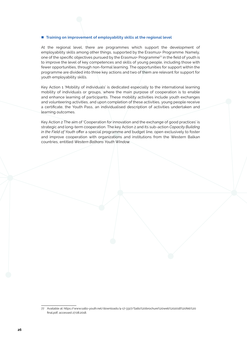### **Training on improvement of employability skills at the regional level**

At the regional level, there are programmes which support the development of employability skills among other things, supported by the Erasmus+ Programme. Namely, one of the specific objectives pursued by the Erasmus+ Programme<sup>77</sup> in the field of youth is to improve the level of key competences and skills of young people, including those with fewer opportunities, through non-formal learning. The opportunities for support within the programme are divided into three key actions and two of them are relevant for support for youth employability skills.

Key Action 1 'Mobility of individuals' is dedicated especially to the international learning mobility of individuals or groups, where the main purpose of cooperation is to enable and enhance learning of participants. These mobility activities include youth exchanges and volunteering activities, and upon completion of these activities, young people receive a certificate, the Youth Pass, an individualised description of activities undertaken and learning outcomes.

Key Action 2 The aim of 'Cooperation for innovation and the exchange of good practices' is strategic and long-term cooperation. The key Action 2 and its sub-action *Capacity Building in the Field of Youth* offer a special programme and budget line, open exclusively to foster and improve cooperation with organizations and institutions from the Western Balkan countries, entitled *Western Balkans Youth Window*.

<sup>77</sup> Available at: [https://www.salto-youth.net/downloads/4-17-3327/Salto%20brochure%20web%202018%20feb%20](https://www.salto-youth.net/downloads/4-17-3327/Salto brochure web 2018 feb final.pdf) [final.pdf](https://www.salto-youth.net/downloads/4-17-3327/Salto brochure web 2018 feb final.pdf), accessed 27.08.2018.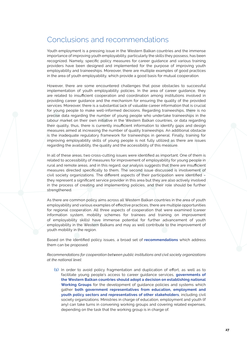# Conclusions and recommendations

Youth employment is a pressing issue in the Western Balkan countries and the immense importance of improving youth employability, particularly the skills they possess, has been recognized. Namely, specific policy measures for career guidance and various training providers have been designed and implemented for the purpose of improving youth employability and traineeships. Moreover, there are multiple examples of good practices in the area of youth employability, which provide a good basis for mutual cooperation.

However, there are some encountered challenges that pose obstacles to successful implementation of youth employability policies. In the area of career guidance, they are related to insufficient cooperation and coordination among institutions involved in providing career guidance and the mechanism for ensuring the quality of the provided services. Moreover, there is a substantial lack of valuable career information that is crucial for young people to make well-informed decisions. Regarding traineeships, there is no precise data regarding the number of young people who undertake traineeships in the labour market on their own initiative in the Western Balkan countries, or data regarding their quality, thus, there is currently insufficient information to identify gaps and design measures aimed at increasing the number of quality traineeships. An additional obstacle is the inadequate regulatory framework for traineeships in general. Finally, training for improving employability skills of young people is not fully utilized as there are issues regarding the availability, the quality and the accessibility of this measure.

In all of these areas, two cross-cutting issues were identified as important. One of them is related to accessibility of measures for improvement of employability for young people in rural and remote areas, and in this regard, our analysis suggests that there are insufficient measures directed specifically to them. The second issue discussed is involvement of civil society organizations. The different aspects of their participation were identified – they represent a significant service provider in this area but they are also actively involved in the process of creating and implementing policies, and their role should be further strengthened.

As there are common policy aims across all Western Balkan countries in the area of youth employability and various examples of effective practices, there are multiple opportunities for regional cooperation. All three aspects of cooperation that were examined (career information system, mobility schemes for trainees and training on improvement of employability skills) have immense potential for further advancement of youth employability in the Western Balkans and may as well contribute to the improvement of youth mobility in the region.

Based on the identified policy issues, a broad set of **recommendations** which address them can be proposed.

### *Recommendations for cooperation between public institutions and civil society organizations at the national level:*

**(1)** In order to avoid policy fragmentation and duplication of effort, as well as to facilitate young people's access to career guidance services, **governments of the Western Balkan countries should adopt a decision on establishing national Working Groups** for the development of guidance policies and systems which gather **both government representatives from education, employment and youth policy sectors and representatives of other stakeholders**, including civil society organizations. Ministries in charge of education, employment and youth (if any) can take turns in convening working groups and covering related expenses, depending on the task that the working group is in charge of.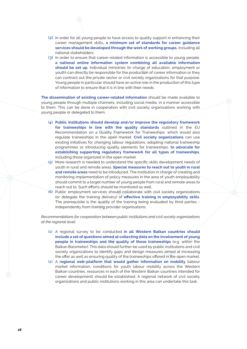- **(2)** In order for all young people to have access to quality support in enhancing their career management skills**, a minimum set of standards for career guidance services should be developed through the work of working groups**, including all national stakeholders.
- **(3)** In order to ensure that career-related information is accessible to young people, **a national online information system combining all available information should be set up.** Individual ministries (in charge of education, employment or youth) can directly be responsible for the production of career information or they can contract out the private sector or civil society organizations for that purpose. Young people in particular should have an active role in the production of this type of information to ensure that it is in line with their needs.

**The dissemination of existing career-related information** should be made available to young people through multiple channels, including social media, in a manner accessible to them. This can be done in cooperation with civil society organizations working with young people or delegated to them.

- **(4) Public institutions should develop and/or improve the regulatory framework for traineeships in line with the quality standards** outlined in the EU Recommendation on a Quality Framework for Traineeships, which would also regulate traineeships in the open market. **Civil society organizations** can use existing initiatives for changing labour regulations, adopting national traineeship programmes or introducing quality elements for traineeships, **to advocate for establishing supporting regulatory framework for all types of traineeships**, including those organized in the open market.
- **(5)** More research is needed to understand the specific skills development needs of youth in rural and remote areas. **Special measures to reach out to youth in rural and remote areas** need to be introduced. The institution in charge of creating and monitoring implementation of policy measures in the area of youth employability should commit to a target number of young people from rural and remote areas to reach out to. Such efforts should be monitored as well.
- **(6)** Public employment services should collaborate with civil society organizations (or delegate the training delivery) of **effective training in employability skills**. The prerequisite is the quality of the training being evaluated by third parties independently from training provider organisations.

*Recommendations for cooperation between public institutions and civil society organizations at the regional level:*

- **(1)** A regional survey to be conducted **in all Western Balkan countries should include a set of questions aimed at collecting data on the involvement of young people in traineeships and the quality of those traineeships** (e.g. within the Balkan Barometer). This data should further be used by public institutions and civil society organizations to identify gaps and design measures aimed at increasing the offer as well as ensuring quality of the traineeships offered in the open market.
- **(2)** A **regional web-platform that would gather information on mobility** (labour market information, conditions for youth labour mobility across the Western Balkan countries, resources in each of the Western Balkan countries intended for career development) should be established. A regional network of civil society organizations and public institutions working in this area can undertake this task.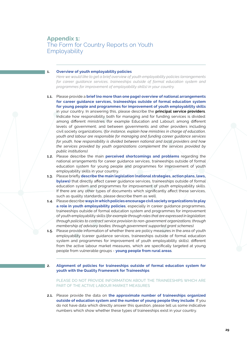### **1. Overview of youth employability policies**

*Here we would like to get a brief overview of youth employability policies (arrangements for career guidance services, traineeships outside of formal education system and programmes for improvement of employability skills) in your country.*

- **1.1.** Please provide a **brief (no more than one page) overview of national arrangements for career guidance services, traineeships outside of formal education system for young people and programmes for improvement of youth employability skills** in your country. In answering this, please describe the **principal service providers**. Indicate how responsibility both for managing and for funding services is divided: among different ministries (for example Education and Labour); among different levels of government; and between governments and other providers including civil society organizations. (*for instance, explain how ministries in charge of education, youth and labour are responsible for managing and funding career guidance services for youth, how responsibility is divided between national and local providers and how the services provided by youth organizations complement the services provided by public institutions).*
- **1.2.** Please describe the main **perceived shortcomings and problems** regarding the national arrangements for career guidance services, traineeships outside of formal education system for young people and programmes for improvement of youth employability skills in your country.
- **1.3.** Please briefly **describe the main legislation (national strategies, action plans, laws, bylaws)** that directly affect career guidance services, traineeships outside of formal education system and programmes for improvement of youth employability skills. If there are any other types of documents which significantly affect these services, such as quality standards, please describe them as well.
- **1.4.** Please describe **ways in which policies encourage civil society organizations to play a role in youth employability policies**, especially in career guidance programmes, traineeships outside of formal education system and programmes for improvement of youth employability skills (*for example through roles that are expressed in legislation; through policies to contract service provision to non-government organizations; through membership of advisory bodies; through government supported grant schemes).*
- **1.5.** Please provide information of whether there are policy measures in the area of youth employability (career guidance services, traineeships outside of formal education system and programmes for improvement of youth employability skills), different from the active labour market measures, which are specifically targeted at young people from vulnerable groups - **young people from rural areas**.
- **2. Alignment of policies for traineeships outside of formal education system for youth with the Quality Framework for Traineeships**

PLEASE DO NOT PROVIDE INFORMATION ABOUT THE TRAINEESHIPS WHICH ARE PART OF THE ACTIVE LABOUR MARKET MEASURES

**2.1.** Please provide the data on **the approximate number of traineeships organized outside of education system and the number of young people they include**. If you do not have data which directly answer this question, please tell us some indicative numbers which show whether these types of traineeships exist in your country.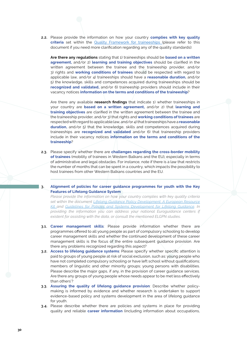**2.2.** Please provide the information on how your country **complies with key quality criteria** set within the [Quality Framework for traineeships](http://eur-lex.europa.eu/legal-content/EN/TXT/?qid=1411116781313&uri=CELEX:32014H0327%2801%29) (please refer to this document if you need more clarification regarding any of the quality standards):

**Are there any regulations** stating that 1) traineeships should be **based on a written agreement,** and/or 2) **learning and training objectives** should be clarified in the written agreement between the trainee and the traineeship provider, and/or 3) rights and **working conditions of trainees** should be respected with regard to applicable law, and/or 4) traineeships should have a **reasonable duration,** and/or 5) the knowledge, skills and competences acquired during traineeships should be **recognized and validated,** and/or 6) traineeship providers should include in their vacancy notices **information on the terms and conditions of the traineeship**?

Are there any available **research findings** that indicate 1) whether traineeships in your country are **based on a written agreement,** and/or 2) that **learning and training objectives** are clarified in the written agreement between the trainee and the traineeship provider, and/or 3) that rights and **working conditions of trainees** are respected with regard to applicable law, and/or 4) that traineeships have a **reasonable duration,** and/or 5) that the knowledge, skills and competences acquired during traineeships are **recognized and validated** and/or 6) that traineeship providers include in their vacancy notices **information on the terms and conditions of the traineeship**?

- **2.3.** Please specify whether there are **challenges regarding the cross-border mobility of trainees** (mobility of trainees in Western Balkans and the EU), especially in terms of administrative and legal obstacles. For instance, note if there is a law that restricts the number of months that can be spent in a country, which impacts the possibility to host trainees from other Western Balkans countries and the EU.
- **3. Alignment of policies for career guidance programmes for youth with the Key Features of Lifelong Guidance System**

*Please provide the information on how your country complies with key quality criteria set within the document [Lifelong Guidance Policy Development: A European Resource](http://www.elgpn.eu/publications/browse-by-language/english/ELGPN_resource_kit_2011-12_web.pdf/)  [Kit](http://www.elgpn.eu/publications/browse-by-language/english/ELGPN_resource_kit_2011-12_web.pdf/) and [Guidelines for Policies and Systems Development for Lifelong Guidance](http://www.elgpn.eu/publications/browse-by-language/english/elgpn-tools-no-6-guidelines-for-policies-and-systems-development-for-lifelong-guidance)*. *In providing the information you can address your national Euroguidance centers if existent for assisting with the data, or consult the mentioned ELGPN studies.*

- **3.1. Career management skills**: Please provide information whether there are programmes offered to all young people as part of compulsory schooling to develop career management skills and whether the continued development of these career management skills is the focus of the entire subsequent guidance provision. Are there any problems recognized regarding this aspect?
- **3.2. Access to lifelong guidance systems**: Please specify whether specific attention is paid to groups of young people at risk of social exclusion, such as: young people who have not completed compulsory schooling or have left school without qualifications; members of linguistic and other minority groups; young persons with disabilities. Please describe the major gaps, if any, in the provision of career guidance services. Are there any groups of young people whose needs appear to be met less effectively than others'?
- **3.3. Assuring the quality of lifelong guidance provision**: Describe whether policymaking is informed by evidence and whether research is undertaken to support evidence-based policy and systems development in the area of lifelong guidance for youth.
- **3.4.** Please describe whether there are policies and systems in place for providing quality and reliable **career information** (including information about occupations,